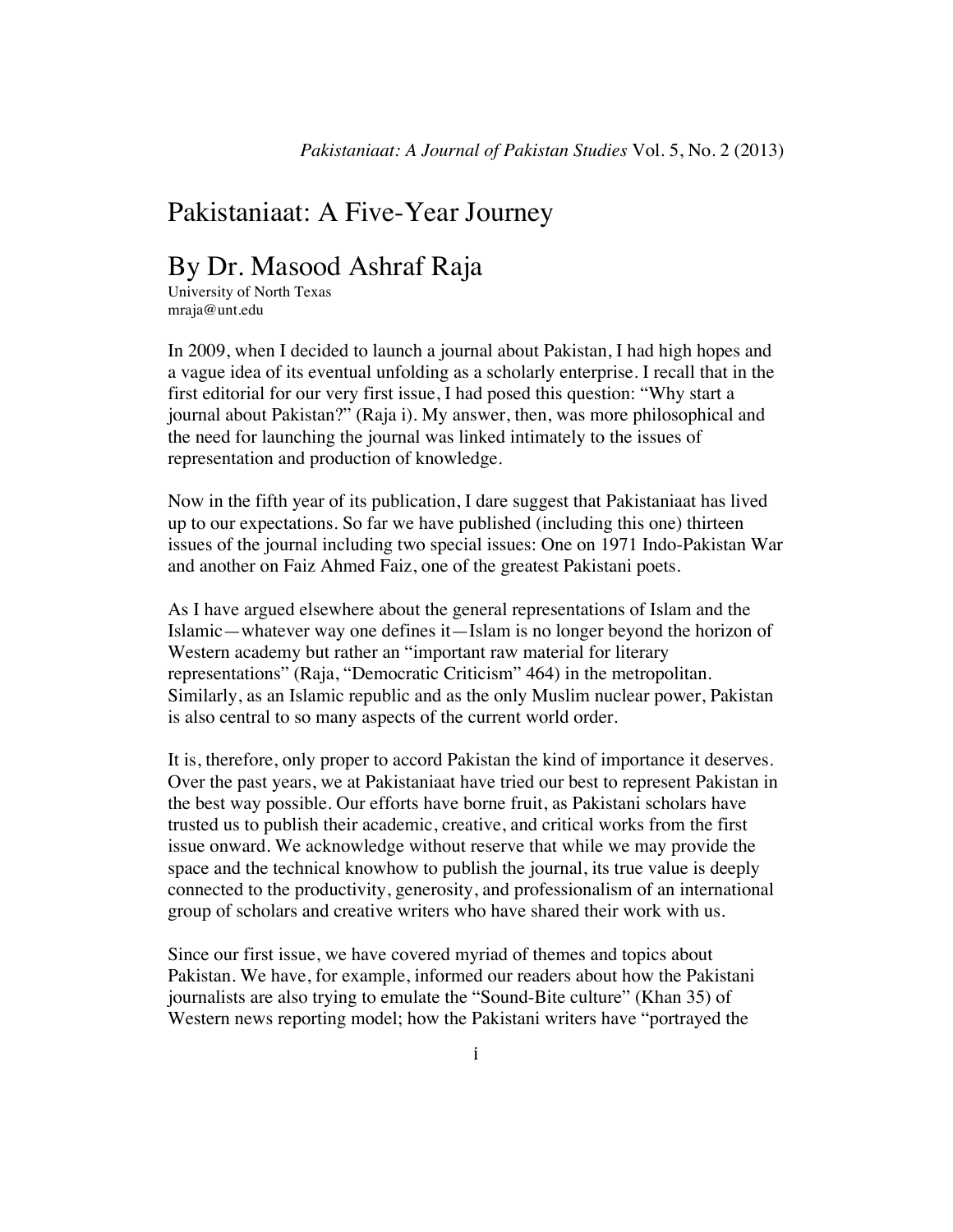## Pakistaniaat: A Five-Year Journey

## By Dr. Masood Ashraf Raja

University of North Texas mraja@unt.edu

In 2009, when I decided to launch a journal about Pakistan, I had high hopes and a vague idea of its eventual unfolding as a scholarly enterprise. I recall that in the first editorial for our very first issue, I had posed this question: "Why start a journal about Pakistan?" (Raja i). My answer, then, was more philosophical and the need for launching the journal was linked intimately to the issues of representation and production of knowledge.

Now in the fifth year of its publication, I dare suggest that Pakistaniaat has lived up to our expectations. So far we have published (including this one) thirteen issues of the journal including two special issues: One on 1971 Indo-Pakistan War and another on Faiz Ahmed Faiz, one of the greatest Pakistani poets.

As I have argued elsewhere about the general representations of Islam and the Islamic—whatever way one defines it—Islam is no longer beyond the horizon of Western academy but rather an "important raw material for literary representations" (Raja, "Democratic Criticism" 464) in the metropolitan. Similarly, as an Islamic republic and as the only Muslim nuclear power, Pakistan is also central to so many aspects of the current world order.

It is, therefore, only proper to accord Pakistan the kind of importance it deserves. Over the past years, we at Pakistaniaat have tried our best to represent Pakistan in the best way possible. Our efforts have borne fruit, as Pakistani scholars have trusted us to publish their academic, creative, and critical works from the first issue onward. We acknowledge without reserve that while we may provide the space and the technical knowhow to publish the journal, its true value is deeply connected to the productivity, generosity, and professionalism of an international group of scholars and creative writers who have shared their work with us.

Since our first issue, we have covered myriad of themes and topics about Pakistan. We have, for example, informed our readers about how the Pakistani journalists are also trying to emulate the "Sound-Bite culture" (Khan 35) of Western news reporting model; how the Pakistani writers have "portrayed the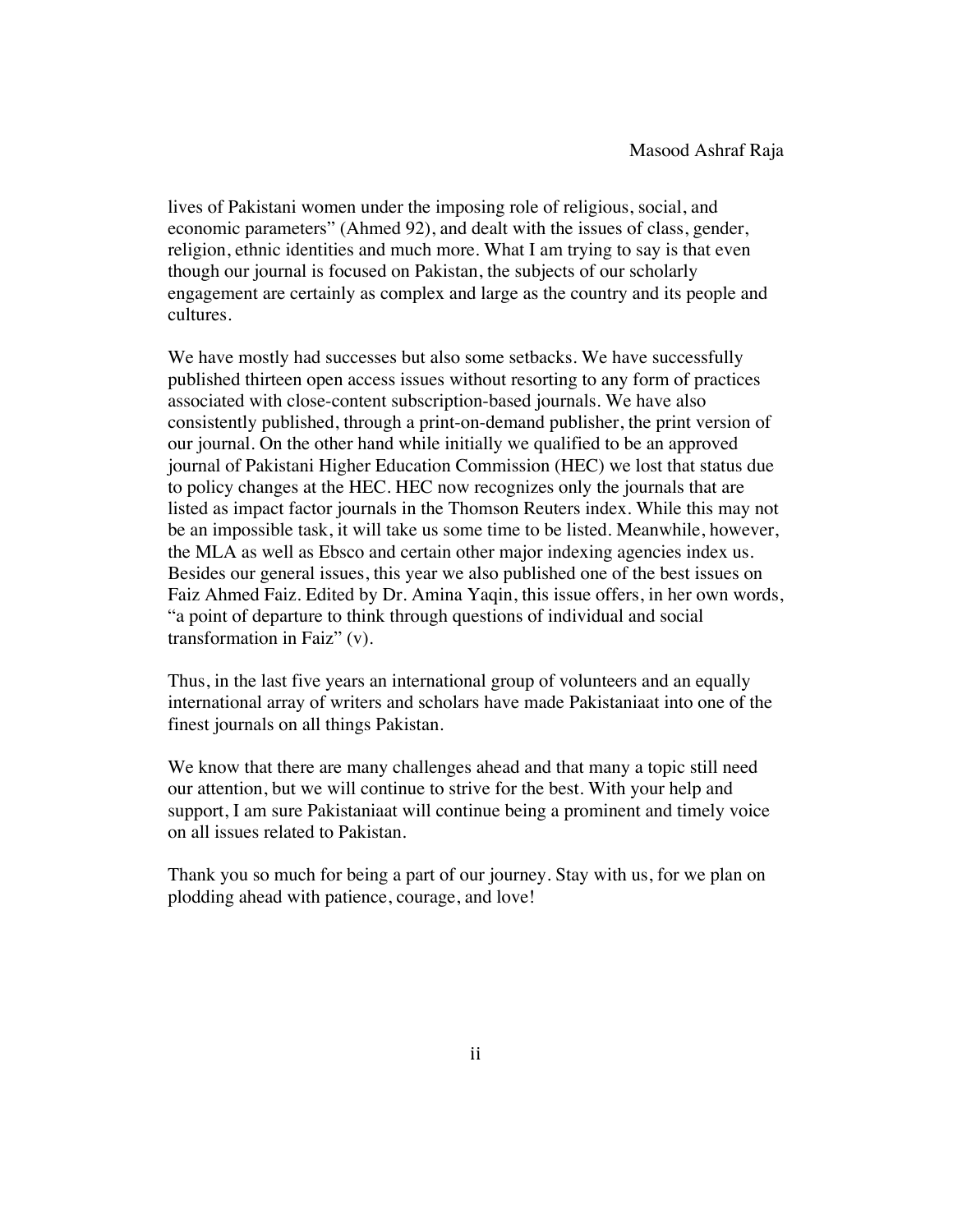lives of Pakistani women under the imposing role of religious, social, and economic parameters" (Ahmed 92), and dealt with the issues of class, gender, religion, ethnic identities and much more. What I am trying to say is that even though our journal is focused on Pakistan, the subjects of our scholarly engagement are certainly as complex and large as the country and its people and cultures.

We have mostly had successes but also some setbacks. We have successfully published thirteen open access issues without resorting to any form of practices associated with close-content subscription-based journals. We have also consistently published, through a print-on-demand publisher, the print version of our journal. On the other hand while initially we qualified to be an approved journal of Pakistani Higher Education Commission (HEC) we lost that status due to policy changes at the HEC. HEC now recognizes only the journals that are listed as impact factor journals in the Thomson Reuters index. While this may not be an impossible task, it will take us some time to be listed. Meanwhile, however, the MLA as well as Ebsco and certain other major indexing agencies index us. Besides our general issues, this year we also published one of the best issues on Faiz Ahmed Faiz. Edited by Dr. Amina Yaqin, this issue offers, in her own words, "a point of departure to think through questions of individual and social transformation in Faiz" (v).

Thus, in the last five years an international group of volunteers and an equally international array of writers and scholars have made Pakistaniaat into one of the finest journals on all things Pakistan.

We know that there are many challenges ahead and that many a topic still need our attention, but we will continue to strive for the best. With your help and support, I am sure Pakistaniaat will continue being a prominent and timely voice on all issues related to Pakistan.

Thank you so much for being a part of our journey. Stay with us, for we plan on plodding ahead with patience, courage, and love!